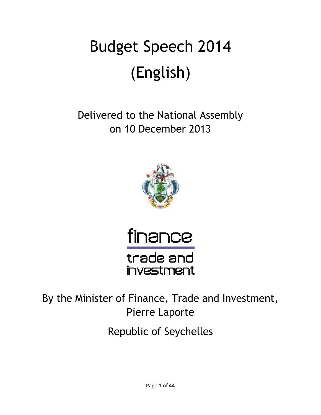# Budget Budget Speech 2014 (English)

Delivered to the National Assembly on 10 December 2013 on 2013





trade and investment

By the Minister of Finance, Trade and Investment,<br>Pierre Laporte

Republic of Seychelles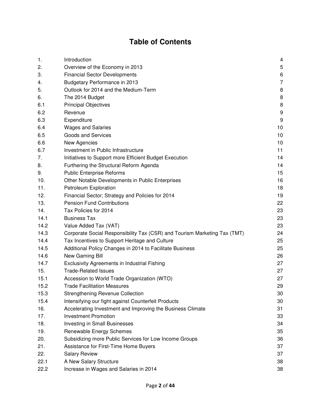## **Table of Contents**

| 1.   | Introduction                                                              | 4                |
|------|---------------------------------------------------------------------------|------------------|
| 2.   | Overview of the Economy in 2013                                           | 5                |
| 3.   | <b>Financial Sector Developments</b>                                      | 6                |
| 4.   | Budgetary Performance in 2013                                             | $\overline{7}$   |
| 5.   | Outlook for 2014 and the Medium-Term                                      | 8                |
| 6.   | The 2014 Budget                                                           | 8                |
| 6.1  | <b>Principal Objectives</b>                                               | 8                |
| 6.2  | Revenue                                                                   | $\boldsymbol{9}$ |
| 6.3  | Expenditure                                                               | 9                |
| 6.4  | <b>Wages and Salaries</b>                                                 | 10               |
| 6.5  | <b>Goods and Services</b>                                                 | 10               |
| 6.6  | New Agencies                                                              | 10               |
| 6.7  | Investment in Public Infrastructure                                       | 11               |
| 7.   | Initiatives to Support more Efficient Budget Execution                    | 14               |
| 8.   | Furthering the Structural Reform Agenda                                   | 14               |
| 9.   | <b>Public Enterprise Reforms</b>                                          | 15               |
| 10.  | Other Notable Developments in Public Enterprises                          | 16               |
| 11.  | Petroleum Exploration                                                     | 18               |
| 12.  | Financial Sector; Strategy and Policies for 2014                          | 19               |
| 13.  | <b>Pension Fund Contributions</b>                                         | 22               |
| 14.  | Tax Policies for 2014                                                     | 23               |
| 14.1 | <b>Business Tax</b>                                                       | 23               |
| 14.2 | Value Added Tax (VAT)                                                     | 23               |
| 14.3 | Corporate Social Responsibility Tax (CSR) and Tourism Marketing Tax (TMT) | 24               |
| 14.4 | Tax Incentives to Support Heritage and Culture                            | 25               |
| 14.5 | Additional Policy Changes in 2014 to Facilitate Business                  | 25               |
| 14.6 | New Gaming Bill                                                           | 26               |
| 14.7 | Exclusivity Agreements in Industrial Fishing                              | 27               |
| 15.  | <b>Trade-Related Issues</b>                                               | 27               |
| 15.1 | Accession to World Trade Organization (WTO)                               | 27               |
| 15.2 | <b>Trade Facilitation Measures</b>                                        | 29               |
| 15.3 | <b>Strengthening Revenue Collection</b>                                   | 30               |
| 15.4 | Intensifying our fight against Counterfeit Products                       | 30               |
| 16.  | Accelerating Investment and Improving the Business Climate                | 31               |
| 17.  | <b>Investment Promotion</b>                                               | 33               |
| 18.  | <b>Investing in Small Businesses</b>                                      | 34               |
| 19.  | Renewable Energy Schemes                                                  | 35               |
| 20.  | Subsidizing more Public Services for Low Income Groups                    | 36               |
| 21.  | Assistance for First-Time Home Buyers                                     | 37               |
| 22.  | <b>Salary Review</b>                                                      | 37               |
| 22.1 | A New Salary Structure                                                    | 38               |
| 22.2 | Increase in Wages and Salaries in 2014                                    | 38               |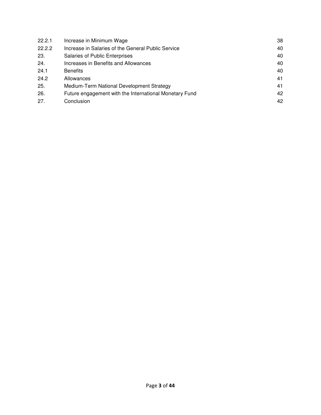| 22.2.1 | Increase in Minimum Wage                               | 38 |
|--------|--------------------------------------------------------|----|
| 22.2.2 | Increase in Salaries of the General Public Service     | 40 |
| 23.    | <b>Salaries of Public Enterprises</b>                  | 40 |
| 24.    | Increases in Benefits and Allowances                   | 40 |
| 24.1   | <b>Benefits</b>                                        | 40 |
| 24.2   | Allowances                                             | 41 |
| 25.    | Medium-Term National Development Strategy              | 41 |
| 26.    | Future engagement with the International Monetary Fund | 42 |
| 27.    | Conclusion                                             | 42 |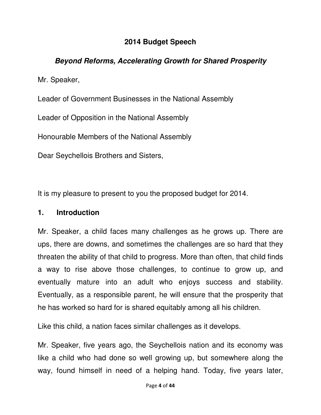#### **2014 Budget Speech**

#### **Beyond Reforms, Accelerating Growth for Shared Prosperity**

Mr. Speaker,

Leader of Government Businesses in the National Assembly

Leader of Opposition in the National Assembly

Honourable Members of the National Assembly

Dear Seychellois Brothers and Sisters,

It is my pleasure to present to you the proposed budget for 2014.

#### **1. Introduction**

Mr. Speaker, a child faces many challenges as he grows up. There are ups, there are downs, and sometimes the challenges are so hard that they threaten the ability of that child to progress. More than often, that child finds a way to rise above those challenges, to continue to grow up, and eventually mature into an adult who enjoys success and stability. Eventually, as a responsible parent, he will ensure that the prosperity that he has worked so hard for is shared equitably among all his children.

Like this child, a nation faces similar challenges as it develops.

Mr. Speaker, five years ago, the Seychellois nation and its economy was like a child who had done so well growing up, but somewhere along the way, found himself in need of a helping hand. Today, five years later,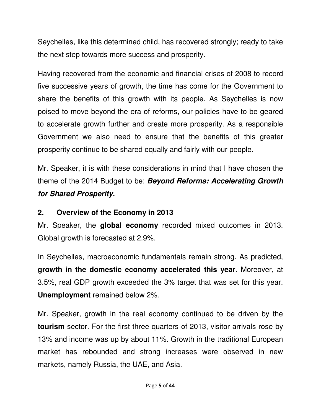Seychelles, like this determined child, has recovered strongly; ready to take the next step towards more success and prosperity.

Having recovered from the economic and financial crises of 2008 to record five successive years of growth, the time has come for the Government to share the benefits of this growth with its people. As Seychelles is now poised to move beyond the era of reforms, our policies have to be geared to accelerate growth further and create more prosperity. As a responsible Government we also need to ensure that the benefits of this greater prosperity continue to be shared equally and fairly with our people.

Mr. Speaker, it is with these considerations in mind that I have chosen the theme of the 2014 Budget to be: **Beyond Reforms: Accelerating Growth for Shared Prosperity.** 

## **2. Overview of the Economy in 2013**

Mr. Speaker, the **global economy** recorded mixed outcomes in 2013. Global growth is forecasted at 2.9%.

In Seychelles, macroeconomic fundamentals remain strong. As predicted, **growth in the domestic economy accelerated this year**. Moreover, at 3.5%, real GDP growth exceeded the 3% target that was set for this year. **Unemployment** remained below 2%.

Mr. Speaker, growth in the real economy continued to be driven by the **tourism** sector. For the first three quarters of 2013, visitor arrivals rose by 13% and income was up by about 11%. Growth in the traditional European market has rebounded and strong increases were observed in new markets, namely Russia, the UAE, and Asia.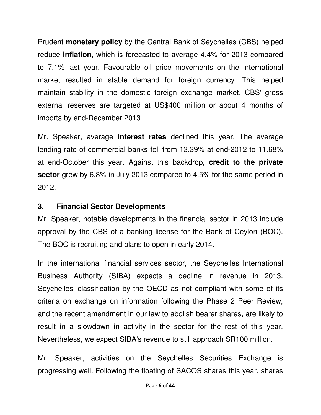Prudent **monetary policy** by the Central Bank of Seychelles (CBS) helped reduce **inflation,** which is forecasted to average 4.4% for 2013 compared to 7.1% last year. Favourable oil price movements on the international market resulted in stable demand for foreign currency. This helped maintain stability in the domestic foreign exchange market. CBS' gross external reserves are targeted at US\$400 million or about 4 months of imports by end-December 2013.

Mr. Speaker, average **interest rates** declined this year. The average lending rate of commercial banks fell from 13.39% at end-2012 to 11.68% at end-October this year. Against this backdrop, **credit to the private sector** grew by 6.8% in July 2013 compared to 4.5% for the same period in 2012.

#### **3. Financial Sector Developments**

Mr. Speaker, notable developments in the financial sector in 2013 include approval by the CBS of a banking license for the Bank of Ceylon (BOC). The BOC is recruiting and plans to open in early 2014.

In the international financial services sector, the Seychelles International Business Authority (SIBA) expects a decline in revenue in 2013. Seychelles' classification by the OECD as not compliant with some of its criteria on exchange on information following the Phase 2 Peer Review, and the recent amendment in our law to abolish bearer shares, are likely to result in a slowdown in activity in the sector for the rest of this year. Nevertheless, we expect SIBA's revenue to still approach SR100 million.

Mr. Speaker, activities on the Seychelles Securities Exchange is progressing well. Following the floating of SACOS shares this year, shares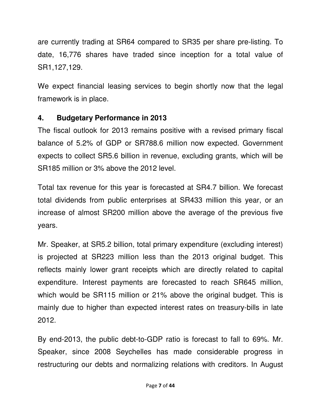are currently trading at SR64 compared to SR35 per share pre-listing. To date, 16,776 shares have traded since inception for a total value of SR1,127,129.

We expect financial leasing services to begin shortly now that the legal framework is in place.

## **4. Budgetary Performance in 2013**

The fiscal outlook for 2013 remains positive with a revised primary fiscal balance of 5.2% of GDP or SR788.6 million now expected. Government expects to collect SR5.6 billion in revenue, excluding grants, which will be SR185 million or 3% above the 2012 level.

Total tax revenue for this year is forecasted at SR4.7 billion. We forecast total dividends from public enterprises at SR433 million this year, or an increase of almost SR200 million above the average of the previous five years.

Mr. Speaker, at SR5.2 billion, total primary expenditure (excluding interest) is projected at SR223 million less than the 2013 original budget. This reflects mainly lower grant receipts which are directly related to capital expenditure. Interest payments are forecasted to reach SR645 million, which would be SR115 million or 21% above the original budget. This is mainly due to higher than expected interest rates on treasury-bills in late 2012.

By end-2013, the public debt-to-GDP ratio is forecast to fall to 69%. Mr. Speaker, since 2008 Seychelles has made considerable progress in restructuring our debts and normalizing relations with creditors. In August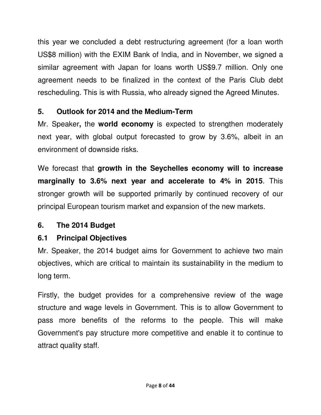this year we concluded a debt restructuring agreement (for a loan worth US\$8 million) with the EXIM Bank of India, and in November, we signed a similar agreement with Japan for loans worth US\$9.7 million. Only one agreement needs to be finalized in the context of the Paris Club debt rescheduling. This is with Russia, who already signed the Agreed Minutes.

## **5. Outlook for 2014 and the Medium-Term**

Mr. Speaker**,** the **world economy** is expected to strengthen moderately next year, with global output forecasted to grow by 3.6%, albeit in an environment of downside risks.

We forecast that **growth in the Seychelles economy will to increase marginally to 3.6% next year and accelerate to 4% in 2015**. This stronger growth will be supported primarily by continued recovery of our principal European tourism market and expansion of the new markets.

## **6. The 2014 Budget**

# **6.1 Principal Objectives**

Mr. Speaker, the 2014 budget aims for Government to achieve two main objectives, which are critical to maintain its sustainability in the medium to long term.

Firstly, the budget provides for a comprehensive review of the wage structure and wage levels in Government. This is to allow Government to pass more benefits of the reforms to the people. This will make Government's pay structure more competitive and enable it to continue to attract quality staff.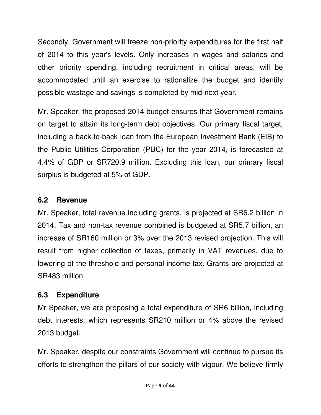Secondly, Government will freeze non-priority expenditures for the first half of 2014 to this year's levels. Only increases in wages and salaries and other priority spending, including recruitment in critical areas, will be accommodated until an exercise to rationalize the budget and identify possible wastage and savings is completed by mid-next year.

Mr. Speaker, the proposed 2014 budget ensures that Government remains on target to attain its long-term debt objectives. Our primary fiscal target, including a back-to-back loan from the European Investment Bank (EIB) to the Public Utilities Corporation (PUC) for the year 2014, is forecasted at 4.4% of GDP or SR720.9 million. Excluding this loan, our primary fiscal surplus is budgeted at 5% of GDP.

## **6.2 Revenue**

Mr. Speaker, total revenue including grants, is projected at SR6.2 billion in 2014. Tax and non-tax revenue combined is budgeted at SR5.7 billion, an increase of SR160 million or 3% over the 2013 revised projection. This will result from higher collection of taxes, primarily in VAT revenues, due to lowering of the threshold and personal income tax. Grants are projected at SR483 million.

## **6.3 Expenditure**

Mr Speaker, we are proposing a total expenditure of SR6 billion, including debt interests, which represents SR210 million or 4% above the revised 2013 budget.

Mr. Speaker, despite our constraints Government will continue to pursue its efforts to strengthen the pillars of our society with vigour. We believe firmly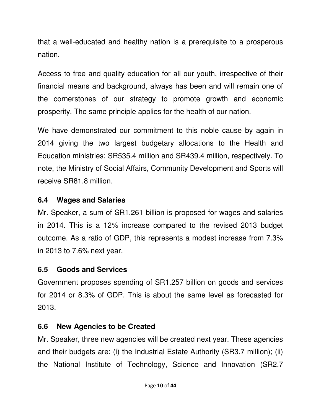that a well-educated and healthy nation is a prerequisite to a prosperous nation.

Access to free and quality education for all our youth, irrespective of their financial means and background, always has been and will remain one of the cornerstones of our strategy to promote growth and economic prosperity. The same principle applies for the health of our nation.

We have demonstrated our commitment to this noble cause by again in 2014 giving the two largest budgetary allocations to the Health and Education ministries; SR535.4 million and SR439.4 million, respectively. To note, the Ministry of Social Affairs, Community Development and Sports will receive SR81.8 million.

## **6.4 Wages and Salaries**

Mr. Speaker, a sum of SR1.261 billion is proposed for wages and salaries in 2014. This is a 12% increase compared to the revised 2013 budget outcome. As a ratio of GDP, this represents a modest increase from 7.3% in 2013 to 7.6% next year.

# **6.5 Goods and Services**

Government proposes spending of SR1.257 billion on goods and services for 2014 or 8.3% of GDP. This is about the same level as forecasted for 2013.

# **6.6 New Agencies to be Created**

Mr. Speaker, three new agencies will be created next year. These agencies and their budgets are: (i) the Industrial Estate Authority (SR3.7 million); (ii) the National Institute of Technology, Science and Innovation (SR2.7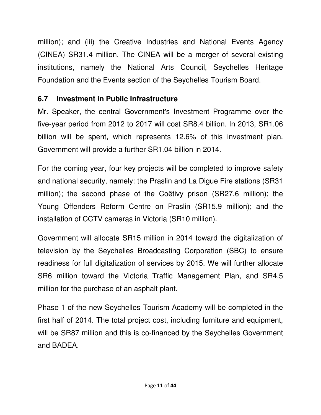million); and (iii) the Creative Industries and National Events Agency (CINEA) SR31.4 million. The CINEA will be a merger of several existing institutions, namely the National Arts Council, Seychelles Heritage Foundation and the Events section of the Seychelles Tourism Board.

## **6.7 Investment in Public Infrastructure**

Mr. Speaker, the central Government's Investment Programme over the five-year period from 2012 to 2017 will cost SR8.4 billion. In 2013, SR1.06 billion will be spent, which represents 12.6% of this investment plan. Government will provide a further SR1.04 billion in 2014.

For the coming year, four key projects will be completed to improve safety and national security, namely: the Praslin and La Digue Fire stations (SR31 million); the second phase of the Coëtivy prison (SR27.6 million); the Young Offenders Reform Centre on Praslin (SR15.9 million); and the installation of CCTV cameras in Victoria (SR10 million).

Government will allocate SR15 million in 2014 toward the digitalization of television by the Seychelles Broadcasting Corporation (SBC) to ensure readiness for full digitalization of services by 2015. We will further allocate SR6 million toward the Victoria Traffic Management Plan, and SR4.5 million for the purchase of an asphalt plant.

Phase 1 of the new Seychelles Tourism Academy will be completed in the first half of 2014. The total project cost, including furniture and equipment, will be SR87 million and this is co-financed by the Seychelles Government and BADEA.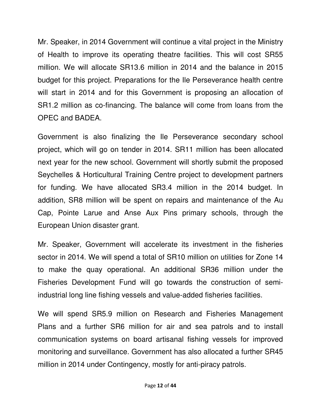Mr. Speaker, in 2014 Government will continue a vital project in the Ministry of Health to improve its operating theatre facilities. This will cost SR55 million. We will allocate SR13.6 million in 2014 and the balance in 2015 budget for this project. Preparations for the Ile Perseverance health centre will start in 2014 and for this Government is proposing an allocation of SR1.2 million as co-financing. The balance will come from loans from the OPEC and BADEA.

Government is also finalizing the Ile Perseverance secondary school project, which will go on tender in 2014. SR11 million has been allocated next year for the new school. Government will shortly submit the proposed Seychelles & Horticultural Training Centre project to development partners for funding. We have allocated SR3.4 million in the 2014 budget. In addition, SR8 million will be spent on repairs and maintenance of the Au Cap, Pointe Larue and Anse Aux Pins primary schools, through the European Union disaster grant.

Mr. Speaker, Government will accelerate its investment in the fisheries sector in 2014. We will spend a total of SR10 million on utilities for Zone 14 to make the quay operational. An additional SR36 million under the Fisheries Development Fund will go towards the construction of semiindustrial long line fishing vessels and value-added fisheries facilities.

We will spend SR5.9 million on Research and Fisheries Management Plans and a further SR6 million for air and sea patrols and to install communication systems on board artisanal fishing vessels for improved monitoring and surveillance. Government has also allocated a further SR45 million in 2014 under Contingency, mostly for anti-piracy patrols.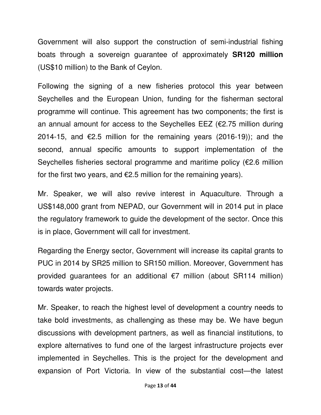Government will also support the construction of semi-industrial fishing boats through a sovereign guarantee of approximately **SR120 million** (US\$10 million) to the Bank of Ceylon.

Following the signing of a new fisheries protocol this year between Seychelles and the European Union, funding for the fisherman sectoral programme will continue. This agreement has two components; the first is an annual amount for access to the Seychelles EEZ ( $\epsilon$ 2.75 million during 2014-15, and €2.5 million for the remaining years  $(2016-19)$ ; and the second, annual specific amounts to support implementation of the Seychelles fisheries sectoral programme and maritime policy (€2.6 million for the first two years, and  $E$ 2.5 million for the remaining years).

Mr. Speaker, we will also revive interest in Aquaculture. Through a US\$148,000 grant from NEPAD, our Government will in 2014 put in place the regulatory framework to guide the development of the sector. Once this is in place, Government will call for investment.

Regarding the Energy sector, Government will increase its capital grants to PUC in 2014 by SR25 million to SR150 million. Moreover, Government has provided guarantees for an additional €7 million (about SR114 million) towards water projects.

Mr. Speaker, to reach the highest level of development a country needs to take bold investments, as challenging as these may be. We have begun discussions with development partners, as well as financial institutions, to explore alternatives to fund one of the largest infrastructure projects ever implemented in Seychelles. This is the project for the development and expansion of Port Victoria. In view of the substantial cost—the latest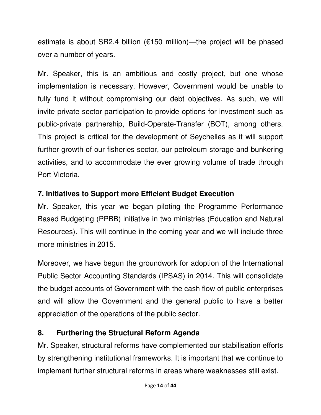estimate is about SR2.4 billion (€150 million)—the project will be phased over a number of years.

Mr. Speaker, this is an ambitious and costly project, but one whose implementation is necessary. However, Government would be unable to fully fund it without compromising our debt objectives. As such, we will invite private sector participation to provide options for investment such as public-private partnership, Build-Operate-Transfer (BOT), among others. This project is critical for the development of Seychelles as it will support further growth of our fisheries sector, our petroleum storage and bunkering activities, and to accommodate the ever growing volume of trade through Port Victoria.

## **7. Initiatives to Support more Efficient Budget Execution**

Mr. Speaker, this year we began piloting the Programme Performance Based Budgeting (PPBB) initiative in two ministries (Education and Natural Resources). This will continue in the coming year and we will include three more ministries in 2015.

Moreover, we have begun the groundwork for adoption of the International Public Sector Accounting Standards (IPSAS) in 2014. This will consolidate the budget accounts of Government with the cash flow of public enterprises and will allow the Government and the general public to have a better appreciation of the operations of the public sector.

# **8. Furthering the Structural Reform Agenda**

Mr. Speaker, structural reforms have complemented our stabilisation efforts by strengthening institutional frameworks. It is important that we continue to implement further structural reforms in areas where weaknesses still exist.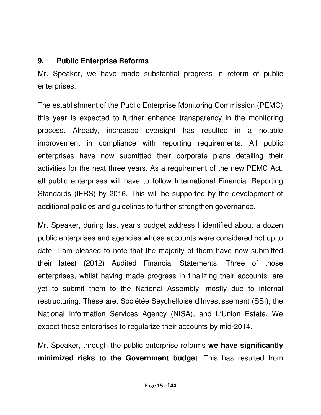#### **9. Public Enterprise Reforms**

Mr. Speaker, we have made substantial progress in reform of public enterprises.

The establishment of the Public Enterprise Monitoring Commission (PEMC) this year is expected to further enhance transparency in the monitoring process. Already, increased oversight has resulted in a notable improvement in compliance with reporting requirements. All public enterprises have now submitted their corporate plans detailing their activities for the next three years. As a requirement of the new PEMC Act, all public enterprises will have to follow International Financial Reporting Standards (IFRS) by 2016. This will be supported by the development of additional policies and guidelines to further strengthen governance.

Mr. Speaker, during last year's budget address I identified about a dozen public enterprises and agencies whose accounts were considered not up to date. I am pleased to note that the majority of them have now submitted their latest (2012) Audited Financial Statements. Three of those enterprises, whilst having made progress in finalizing their accounts, are yet to submit them to the National Assembly, mostly due to internal restructuring. These are: Sociétée Seychelloise d'Investissement (SSI), the National Information Services Agency (NISA), and L'Union Estate. We expect these enterprises to regularize their accounts by mid-2014.

Mr. Speaker, through the public enterprise reforms **we have significantly minimized risks to the Government budget**. This has resulted from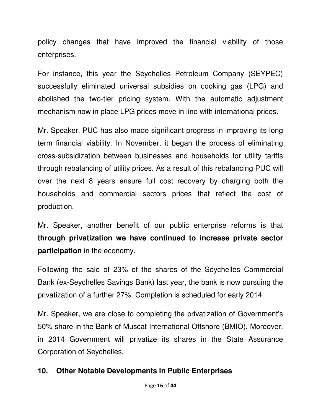policy changes that have improved the financial viability of those enterprises.

For instance, this year the Seychelles Petroleum Company (SEYPEC) successfully eliminated universal subsidies on cooking gas (LPG) and abolished the two-tier pricing system. With the automatic adjustment mechanism now in place LPG prices move in line with international prices.

Mr. Speaker, PUC has also made significant progress in improving its long term financial viability. In November, it began the process of eliminating cross-subsidization between businesses and households for utility tariffs through rebalancing of utility prices. As a result of this rebalancing PUC will over the next 8 years ensure full cost recovery by charging both the households and commercial sectors prices that reflect the cost of production.

Mr. Speaker, another benefit of our public enterprise reforms is that **through privatization we have continued to increase private sector participation** in the economy.

Following the sale of 23% of the shares of the Seychelles Commercial Bank (ex-Seychelles Savings Bank) last year, the bank is now pursuing the privatization of a further 27%. Completion is scheduled for early 2014.

Mr. Speaker, we are close to completing the privatization of Government's 50% share in the Bank of Muscat International Offshore (BMIO). Moreover, in 2014 Government will privatize its shares in the State Assurance Corporation of Seychelles.

# **10. Other Notable Developments in Public Enterprises**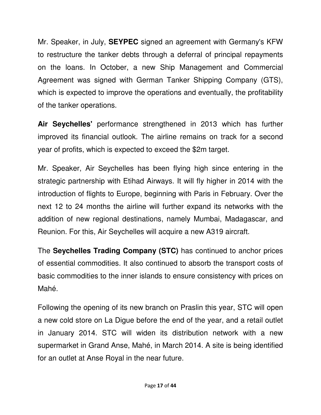Mr. Speaker, in July, **SEYPEC** signed an agreement with Germany's KFW to restructure the tanker debts through a deferral of principal repayments on the loans. In October, a new Ship Management and Commercial Agreement was signed with German Tanker Shipping Company (GTS), which is expected to improve the operations and eventually, the profitability of the tanker operations.

**Air Seychelles'** performance strengthened in 2013 which has further improved its financial outlook. The airline remains on track for a second year of profits, which is expected to exceed the \$2m target.

Mr. Speaker, Air Seychelles has been flying high since entering in the strategic partnership with Etihad Airways. It will fly higher in 2014 with the introduction of flights to Europe, beginning with Paris in February. Over the next 12 to 24 months the airline will further expand its networks with the addition of new regional destinations, namely Mumbai, Madagascar, and Reunion. For this, Air Seychelles will acquire a new A319 aircraft.

The **Seychelles Trading Company (STC)** has continued to anchor prices of essential commodities. It also continued to absorb the transport costs of basic commodities to the inner islands to ensure consistency with prices on Mahé.

Following the opening of its new branch on Praslin this year, STC will open a new cold store on La Digue before the end of the year, and a retail outlet in January 2014. STC will widen its distribution network with a new supermarket in Grand Anse, Mahé, in March 2014. A site is being identified for an outlet at Anse Royal in the near future.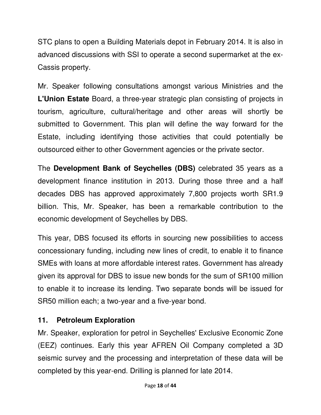STC plans to open a Building Materials depot in February 2014. It is also in advanced discussions with SSI to operate a second supermarket at the ex-Cassis property.

Mr. Speaker following consultations amongst various Ministries and the **L'Union Estate** Board, a three-year strategic plan consisting of projects in tourism, agriculture, cultural/heritage and other areas will shortly be submitted to Government. This plan will define the way forward for the Estate, including identifying those activities that could potentially be outsourced either to other Government agencies or the private sector.

The **Development Bank of Seychelles (DBS)** celebrated 35 years as a development finance institution in 2013. During those three and a half decades DBS has approved approximately 7,800 projects worth SR1.9 billion. This, Mr. Speaker, has been a remarkable contribution to the economic development of Seychelles by DBS.

This year, DBS focused its efforts in sourcing new possibilities to access concessionary funding, including new lines of credit, to enable it to finance SMEs with loans at more affordable interest rates. Government has already given its approval for DBS to issue new bonds for the sum of SR100 million to enable it to increase its lending. Two separate bonds will be issued for SR50 million each; a two-year and a five-year bond.

## **11. Petroleum Exploration**

Mr. Speaker, exploration for petrol in Seychelles' Exclusive Economic Zone (EEZ) continues. Early this year AFREN Oil Company completed a 3D seismic survey and the processing and interpretation of these data will be completed by this year-end. Drilling is planned for late 2014.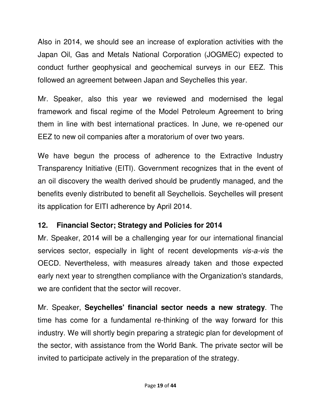Also in 2014, we should see an increase of exploration activities with the Japan Oil, Gas and Metals National Corporation (JOGMEC) expected to conduct further geophysical and geochemical surveys in our EEZ. This followed an agreement between Japan and Seychelles this year.

Mr. Speaker, also this year we reviewed and modernised the legal framework and fiscal regime of the Model Petroleum Agreement to bring them in line with best international practices. In June, we re-opened our EEZ to new oil companies after a moratorium of over two years.

We have begun the process of adherence to the Extractive Industry Transparency Initiative (EITI). Government recognizes that in the event of an oil discovery the wealth derived should be prudently managed, and the benefits evenly distributed to benefit all Seychellois. Seychelles will present its application for EITI adherence by April 2014.

## **12. Financial Sector; Strategy and Policies for 2014**

Mr. Speaker, 2014 will be a challenging year for our international financial services sector, especially in light of recent developments *vis-a-vis* the OECD. Nevertheless, with measures already taken and those expected early next year to strengthen compliance with the Organization's standards, we are confident that the sector will recover.

Mr. Speaker, **Seychelles' financial sector needs a new strategy**. The time has come for a fundamental re-thinking of the way forward for this industry. We will shortly begin preparing a strategic plan for development of the sector, with assistance from the World Bank. The private sector will be invited to participate actively in the preparation of the strategy.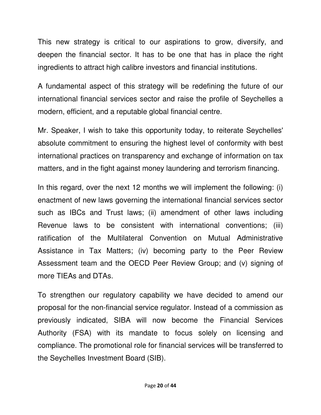This new strategy is critical to our aspirations to grow, diversify, and deepen the financial sector. It has to be one that has in place the right ingredients to attract high calibre investors and financial institutions.

A fundamental aspect of this strategy will be redefining the future of our international financial services sector and raise the profile of Seychelles a modern, efficient, and a reputable global financial centre.

Mr. Speaker, I wish to take this opportunity today, to reiterate Seychelles' absolute commitment to ensuring the highest level of conformity with best international practices on transparency and exchange of information on tax matters, and in the fight against money laundering and terrorism financing.

In this regard, over the next 12 months we will implement the following: (i) enactment of new laws governing the international financial services sector such as IBCs and Trust laws; (ii) amendment of other laws including Revenue laws to be consistent with international conventions; (iii) ratification of the Multilateral Convention on Mutual Administrative Assistance in Tax Matters; (iv) becoming party to the Peer Review Assessment team and the OECD Peer Review Group; and (v) signing of more TIEAs and DTAs.

To strengthen our regulatory capability we have decided to amend our proposal for the non-financial service regulator. Instead of a commission as previously indicated, SIBA will now become the Financial Services Authority (FSA) with its mandate to focus solely on licensing and compliance. The promotional role for financial services will be transferred to the Seychelles Investment Board (SIB).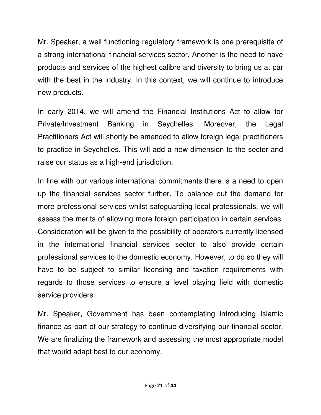Mr. Speaker, a well functioning regulatory framework is one prerequisite of a strong international financial services sector. Another is the need to have products and services of the highest calibre and diversity to bring us at par with the best in the industry. In this context, we will continue to introduce new products.

In early 2014, we will amend the Financial Institutions Act to allow for Private/Investment Banking in Seychelles. Moreover, the Legal Practitioners Act will shortly be amended to allow foreign legal practitioners to practice in Seychelles. This will add a new dimension to the sector and raise our status as a high-end jurisdiction.

In line with our various international commitments there is a need to open up the financial services sector further. To balance out the demand for more professional services whilst safeguarding local professionals, we will assess the merits of allowing more foreign participation in certain services. Consideration will be given to the possibility of operators currently licensed in the international financial services sector to also provide certain professional services to the domestic economy. However, to do so they will have to be subject to similar licensing and taxation requirements with regards to those services to ensure a level playing field with domestic service providers.

Mr. Speaker, Government has been contemplating introducing Islamic finance as part of our strategy to continue diversifying our financial sector. We are finalizing the framework and assessing the most appropriate model that would adapt best to our economy.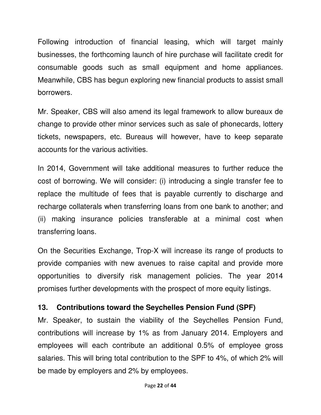Following introduction of financial leasing, which will target mainly businesses, the forthcoming launch of hire purchase will facilitate credit for consumable goods such as small equipment and home appliances. Meanwhile, CBS has begun exploring new financial products to assist small borrowers.

Mr. Speaker, CBS will also amend its legal framework to allow bureaux de change to provide other minor services such as sale of phonecards, lottery tickets, newspapers, etc. Bureaus will however, have to keep separate accounts for the various activities.

In 2014, Government will take additional measures to further reduce the cost of borrowing. We will consider: (i) introducing a single transfer fee to replace the multitude of fees that is payable currently to discharge and recharge collaterals when transferring loans from one bank to another; and (ii) making insurance policies transferable at a minimal cost when transferring loans.

On the Securities Exchange, Trop-X will increase its range of products to provide companies with new avenues to raise capital and provide more opportunities to diversify risk management policies. The year 2014 promises further developments with the prospect of more equity listings.

## **13. Contributions toward the Seychelles Pension Fund (SPF)**

Mr. Speaker, to sustain the viability of the Seychelles Pension Fund, contributions will increase by 1% as from January 2014. Employers and employees will each contribute an additional 0.5% of employee gross salaries. This will bring total contribution to the SPF to 4%, of which 2% will be made by employers and 2% by employees.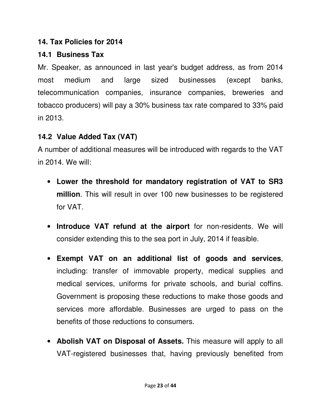#### **14. Tax Policies for 2014**

# **14.1 Business Tax**

Mr. Speaker, as announced in last year's budget address, as from 2014 most medium and large sized businesses (except banks, telecommunication companies, insurance companies, breweries and tobacco producers) will pay a 30% business tax rate compared to 33% paid in 2013.

# **14.2 Value Added Tax (VAT)**

A number of additional measures will be introduced with regards to the VAT in 2014. We will:

- **Lower the threshold for mandatory registration of VAT to SR3 million**. This will result in over 100 new businesses to be registered for VAT.
- **Introduce VAT refund at the airport** for non-residents. We will consider extending this to the sea port in July, 2014 if feasible.
- **Exempt VAT on an additional list of goods and services**, including: transfer of immovable property, medical supplies and medical services, uniforms for private schools, and burial coffins. Government is proposing these reductions to make those goods and services more affordable. Businesses are urged to pass on the benefits of those reductions to consumers.
- **Abolish VAT on Disposal of Assets.** This measure will apply to all VAT-registered businesses that, having previously benefited from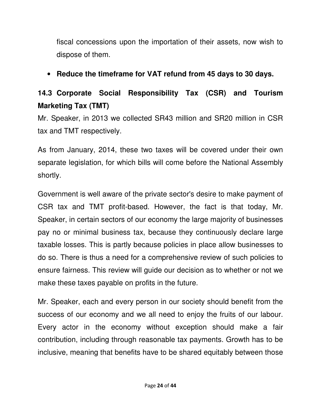fiscal concessions upon the importation of their assets, now wish to dispose of them.

## • **Reduce the timeframe for VAT refund from 45 days to 30 days.**

# **14.3 Corporate Social Responsibility Tax (CSR) and Tourism Marketing Tax (TMT)**

Mr. Speaker, in 2013 we collected SR43 million and SR20 million in CSR tax and TMT respectively.

As from January, 2014, these two taxes will be covered under their own separate legislation, for which bills will come before the National Assembly shortly.

Government is well aware of the private sector's desire to make payment of CSR tax and TMT profit-based. However, the fact is that today, Mr. Speaker, in certain sectors of our economy the large majority of businesses pay no or minimal business tax, because they continuously declare large taxable losses. This is partly because policies in place allow businesses to do so. There is thus a need for a comprehensive review of such policies to ensure fairness. This review will guide our decision as to whether or not we make these taxes payable on profits in the future.

Mr. Speaker, each and every person in our society should benefit from the success of our economy and we all need to enjoy the fruits of our labour. Every actor in the economy without exception should make a fair contribution, including through reasonable tax payments. Growth has to be inclusive, meaning that benefits have to be shared equitably between those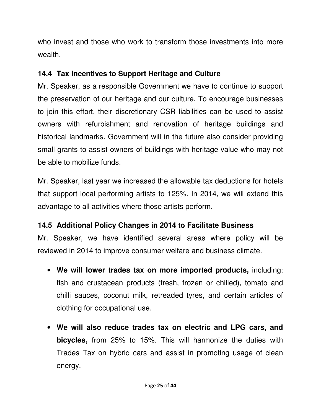who invest and those who work to transform those investments into more wealth.

## **14.4 Tax Incentives to Support Heritage and Culture**

Mr. Speaker, as a responsible Government we have to continue to support the preservation of our heritage and our culture. To encourage businesses to join this effort, their discretionary CSR liabilities can be used to assist owners with refurbishment and renovation of heritage buildings and historical landmarks. Government will in the future also consider providing small grants to assist owners of buildings with heritage value who may not be able to mobilize funds.

Mr. Speaker, last year we increased the allowable tax deductions for hotels that support local performing artists to 125%. In 2014, we will extend this advantage to all activities where those artists perform.

# **14.5 Additional Policy Changes in 2014 to Facilitate Business**

Mr. Speaker, we have identified several areas where policy will be reviewed in 2014 to improve consumer welfare and business climate.

- **We will lower trades tax on more imported products,** including: fish and crustacean products (fresh, frozen or chilled), tomato and chilli sauces, coconut milk, retreaded tyres, and certain articles of clothing for occupational use.
- **We will also reduce trades tax on electric and LPG cars, and bicycles,** from 25% to 15%. This will harmonize the duties with Trades Tax on hybrid cars and assist in promoting usage of clean energy.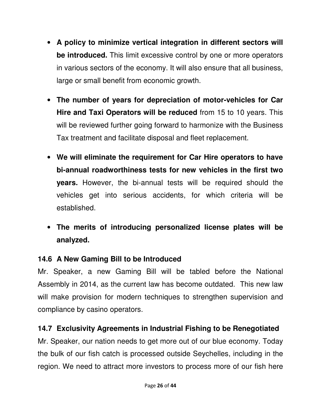- **A policy to minimize vertical integration in different sectors will be introduced.** This limit excessive control by one or more operators in various sectors of the economy. It will also ensure that all business, large or small benefit from economic growth.
- **The number of years for depreciation of motor-vehicles for Car Hire and Taxi Operators will be reduced** from 15 to 10 years. This will be reviewed further going forward to harmonize with the Business Tax treatment and facilitate disposal and fleet replacement.
- **We will eliminate the requirement for Car Hire operators to have bi-annual roadworthiness tests for new vehicles in the first two years.** However, the bi-annual tests will be required should the vehicles get into serious accidents, for which criteria will be established.
- **The merits of introducing personalized license plates will be analyzed.**

# **14.6 A New Gaming Bill to be Introduced**

Mr. Speaker, a new Gaming Bill will be tabled before the National Assembly in 2014, as the current law has become outdated. This new law will make provision for modern techniques to strengthen supervision and compliance by casino operators.

# **14.7 Exclusivity Agreements in Industrial Fishing to be Renegotiated**

Mr. Speaker, our nation needs to get more out of our blue economy. Today the bulk of our fish catch is processed outside Seychelles, including in the region. We need to attract more investors to process more of our fish here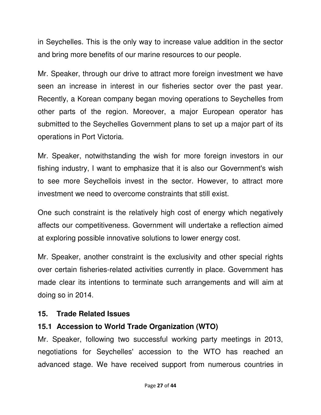in Seychelles. This is the only way to increase value addition in the sector and bring more benefits of our marine resources to our people.

Mr. Speaker, through our drive to attract more foreign investment we have seen an increase in interest in our fisheries sector over the past year. Recently, a Korean company began moving operations to Seychelles from other parts of the region. Moreover, a major European operator has submitted to the Seychelles Government plans to set up a major part of its operations in Port Victoria.

Mr. Speaker, notwithstanding the wish for more foreign investors in our fishing industry, I want to emphasize that it is also our Government's wish to see more Seychellois invest in the sector. However, to attract more investment we need to overcome constraints that still exist.

One such constraint is the relatively high cost of energy which negatively affects our competitiveness. Government will undertake a reflection aimed at exploring possible innovative solutions to lower energy cost.

Mr. Speaker, another constraint is the exclusivity and other special rights over certain fisheries-related activities currently in place. Government has made clear its intentions to terminate such arrangements and will aim at doing so in 2014.

## **15. Trade Related Issues**

# **15.1 Accession to World Trade Organization (WTO)**

Mr. Speaker, following two successful working party meetings in 2013, negotiations for Seychelles' accession to the WTO has reached an advanced stage. We have received support from numerous countries in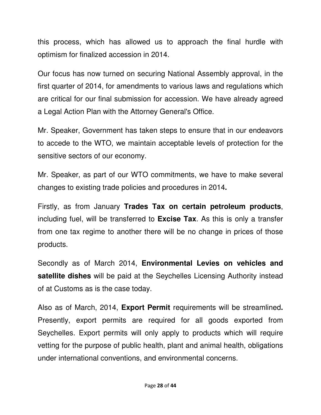this process, which has allowed us to approach the final hurdle with optimism for finalized accession in 2014.

Our focus has now turned on securing National Assembly approval, in the first quarter of 2014, for amendments to various laws and regulations which are critical for our final submission for accession. We have already agreed a Legal Action Plan with the Attorney General's Office.

Mr. Speaker, Government has taken steps to ensure that in our endeavors to accede to the WTO, we maintain acceptable levels of protection for the sensitive sectors of our economy.

Mr. Speaker, as part of our WTO commitments, we have to make several changes to existing trade policies and procedures in 2014**.** 

Firstly, as from January **Trades Tax on certain petroleum products**, including fuel, will be transferred to **Excise Tax**. As this is only a transfer from one tax regime to another there will be no change in prices of those products.

Secondly as of March 2014, **Environmental Levies on vehicles and satellite dishes** will be paid at the Seychelles Licensing Authority instead of at Customs as is the case today.

Also as of March, 2014, **Export Permit** requirements will be streamlined**.**  Presently, export permits are required for all goods exported from Seychelles. Export permits will only apply to products which will require vetting for the purpose of public health, plant and animal health, obligations under international conventions, and environmental concerns.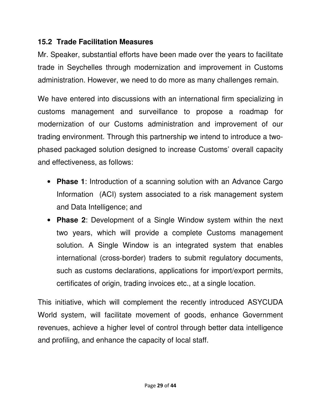#### **15.2 Trade Facilitation Measures**

Mr. Speaker, substantial efforts have been made over the years to facilitate trade in Seychelles through modernization and improvement in Customs administration. However, we need to do more as many challenges remain.

We have entered into discussions with an international firm specializing in customs management and surveillance to propose a roadmap for modernization of our Customs administration and improvement of our trading environment. Through this partnership we intend to introduce a twophased packaged solution designed to increase Customs' overall capacity and effectiveness, as follows:

- **Phase 1**: Introduction of a scanning solution with an Advance Cargo Information (ACI) system associated to a risk management system and Data Intelligence; and
- **Phase 2**: Development of a Single Window system within the next two years, which will provide a complete Customs management solution. A Single Window is an integrated system that enables international (cross-border) traders to submit regulatory documents, such as customs declarations, applications for import/export permits, certificates of origin, trading invoices etc., at a single location.

This initiative, which will complement the recently introduced ASYCUDA World system, will facilitate movement of goods, enhance Government revenues, achieve a higher level of control through better data intelligence and profiling, and enhance the capacity of local staff.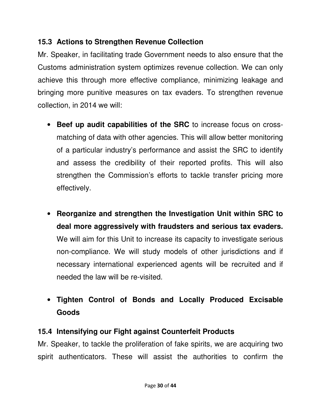## **15.3 Actions to Strengthen Revenue Collection**

Mr. Speaker, in facilitating trade Government needs to also ensure that the Customs administration system optimizes revenue collection. We can only achieve this through more effective compliance, minimizing leakage and bringing more punitive measures on tax evaders. To strengthen revenue collection, in 2014 we will:

- **Beef up audit capabilities of the SRC** to increase focus on crossmatching of data with other agencies. This will allow better monitoring of a particular industry's performance and assist the SRC to identify and assess the credibility of their reported profits. This will also strengthen the Commission's efforts to tackle transfer pricing more effectively.
- **Reorganize and strengthen the Investigation Unit within SRC to deal more aggressively with fraudsters and serious tax evaders.** We will aim for this Unit to increase its capacity to investigate serious non-compliance. We will study models of other jurisdictions and if necessary international experienced agents will be recruited and if needed the law will be re-visited.
- **Tighten Control of Bonds and Locally Produced Excisable Goods**

# **15.4 Intensifying our Fight against Counterfeit Products**

Mr. Speaker, to tackle the proliferation of fake spirits, we are acquiring two spirit authenticators. These will assist the authorities to confirm the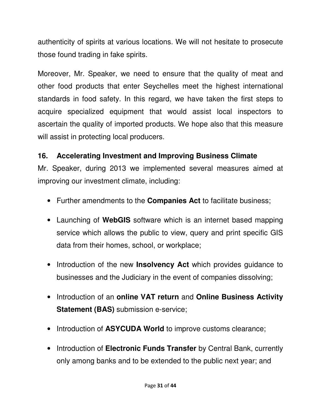authenticity of spirits at various locations. We will not hesitate to prosecute those found trading in fake spirits.

Moreover, Mr. Speaker, we need to ensure that the quality of meat and other food products that enter Seychelles meet the highest international standards in food safety. In this regard, we have taken the first steps to acquire specialized equipment that would assist local inspectors to ascertain the quality of imported products. We hope also that this measure will assist in protecting local producers.

## **16. Accelerating Investment and Improving Business Climate**

Mr. Speaker, during 2013 we implemented several measures aimed at improving our investment climate, including:

- Further amendments to the **Companies Act** to facilitate business;
- Launching of **WebGIS** software which is an internet based mapping service which allows the public to view, query and print specific GIS data from their homes, school, or workplace;
- Introduction of the new **Insolvency Act** which provides guidance to businesses and the Judiciary in the event of companies dissolving;
- Introduction of an **online VAT return** and **Online Business Activity Statement (BAS)** submission e-service;
- Introduction of **ASYCUDA World** to improve customs clearance;
- Introduction of **Electronic Funds Transfer** by Central Bank, currently only among banks and to be extended to the public next year; and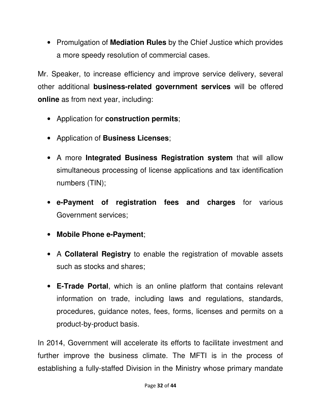• Promulgation of **Mediation Rules** by the Chief Justice which provides a more speedy resolution of commercial cases.

Mr. Speaker, to increase efficiency and improve service delivery, several other additional **business-related government services** will be offered **online** as from next year, including:

- Application for **construction permits**;
- Application of **Business Licenses**;
- A more **Integrated Business Registration system** that will allow simultaneous processing of license applications and tax identification numbers (TIN);
- **e-Payment of registration fees and charges** for various Government services;
- **Mobile Phone e-Payment**;
- A **Collateral Registry** to enable the registration of movable assets such as stocks and shares;
- **E-Trade Portal**, which is an online platform that contains relevant information on trade, including laws and regulations, standards, procedures, guidance notes, fees, forms, licenses and permits on a product-by-product basis.

In 2014, Government will accelerate its efforts to facilitate investment and further improve the business climate. The MFTI is in the process of establishing a fully-staffed Division in the Ministry whose primary mandate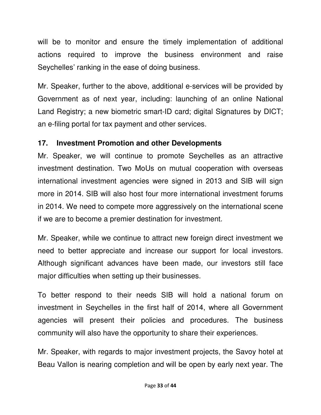will be to monitor and ensure the timely implementation of additional actions required to improve the business environment and raise Seychelles' ranking in the ease of doing business.

Mr. Speaker, further to the above, additional e-services will be provided by Government as of next year, including: launching of an online National Land Registry; a new biometric smart-ID card; digital Signatures by DICT; an e-filing portal for tax payment and other services.

## **17. Investment Promotion and other Developments**

Mr. Speaker, we will continue to promote Seychelles as an attractive investment destination. Two MoUs on mutual cooperation with overseas international investment agencies were signed in 2013 and SIB will sign more in 2014. SIB will also host four more international investment forums in 2014. We need to compete more aggressively on the international scene if we are to become a premier destination for investment.

Mr. Speaker, while we continue to attract new foreign direct investment we need to better appreciate and increase our support for local investors. Although significant advances have been made, our investors still face major difficulties when setting up their businesses.

To better respond to their needs SIB will hold a national forum on investment in Seychelles in the first half of 2014, where all Government agencies will present their policies and procedures. The business community will also have the opportunity to share their experiences.

Mr. Speaker, with regards to major investment projects, the Savoy hotel at Beau Vallon is nearing completion and will be open by early next year. The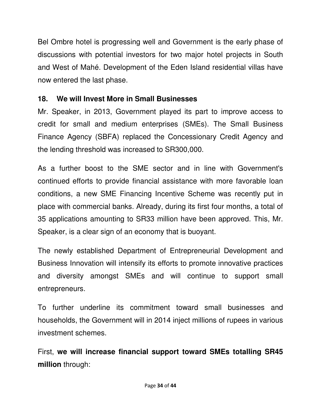Bel Ombre hotel is progressing well and Government is the early phase of discussions with potential investors for two major hotel projects in South and West of Mahé. Development of the Eden Island residential villas have now entered the last phase.

## **18. We will Invest More in Small Businesses**

Mr. Speaker, in 2013, Government played its part to improve access to credit for small and medium enterprises (SMEs). The Small Business Finance Agency (SBFA) replaced the Concessionary Credit Agency and the lending threshold was increased to SR300,000.

As a further boost to the SME sector and in line with Government's continued efforts to provide financial assistance with more favorable loan conditions, a new SME Financing Incentive Scheme was recently put in place with commercial banks. Already, during its first four months, a total of 35 applications amounting to SR33 million have been approved. This, Mr. Speaker, is a clear sign of an economy that is buoyant.

The newly established Department of Entrepreneurial Development and Business Innovation will intensify its efforts to promote innovative practices and diversity amongst SMEs and will continue to support small entrepreneurs.

To further underline its commitment toward small businesses and households, the Government will in 2014 inject millions of rupees in various investment schemes.

First, **we will increase financial support toward SMEs totalling SR45 million** through: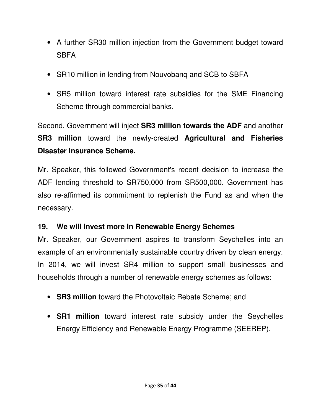- A further SR30 million injection from the Government budget toward **SBFA**
- SR10 million in lending from Nouvobang and SCB to SBFA
- SR5 million toward interest rate subsidies for the SME Financing Scheme through commercial banks.

Second, Government will inject **SR3 million towards the ADF** and another **SR3 million** toward the newly-created **Agricultural and Fisheries Disaster Insurance Scheme.** 

Mr. Speaker, this followed Government's recent decision to increase the ADF lending threshold to SR750,000 from SR500,000. Government has also re-affirmed its commitment to replenish the Fund as and when the necessary.

## **19. We will Invest more in Renewable Energy Schemes**

Mr. Speaker, our Government aspires to transform Seychelles into an example of an environmentally sustainable country driven by clean energy. In 2014, we will invest SR4 million to support small businesses and households through a number of renewable energy schemes as follows:

- **SR3 million** toward the Photovoltaic Rebate Scheme; and
- **SR1 million** toward interest rate subsidy under the Seychelles Energy Efficiency and Renewable Energy Programme (SEEREP).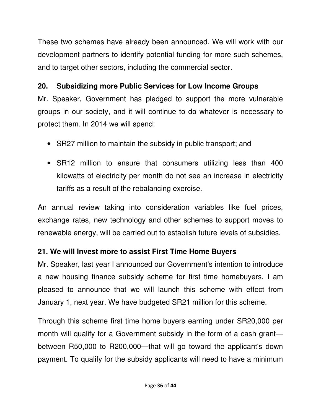These two schemes have already been announced. We will work with our development partners to identify potential funding for more such schemes, and to target other sectors, including the commercial sector.

## **20. Subsidizing more Public Services for Low Income Groups**

Mr. Speaker, Government has pledged to support the more vulnerable groups in our society, and it will continue to do whatever is necessary to protect them. In 2014 we will spend:

- SR27 million to maintain the subsidy in public transport; and
- SR12 million to ensure that consumers utilizing less than 400 kilowatts of electricity per month do not see an increase in electricity tariffs as a result of the rebalancing exercise.

An annual review taking into consideration variables like fuel prices, exchange rates, new technology and other schemes to support moves to renewable energy, will be carried out to establish future levels of subsidies.

# **21. We will Invest more to assist First Time Home Buyers**

Mr. Speaker, last year I announced our Government's intention to introduce a new housing finance subsidy scheme for first time homebuyers. I am pleased to announce that we will launch this scheme with effect from January 1, next year. We have budgeted SR21 million for this scheme.

Through this scheme first time home buyers earning under SR20,000 per month will qualify for a Government subsidy in the form of a cash grant between R50,000 to R200,000—that will go toward the applicant's down payment. To qualify for the subsidy applicants will need to have a minimum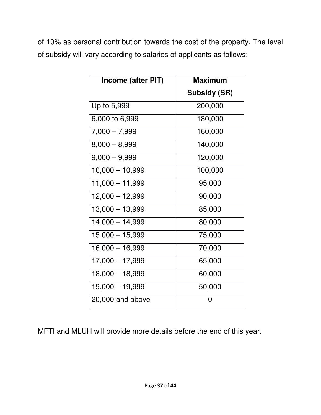of 10% as personal contribution towards the cost of the property. The level of subsidy will vary according to salaries of applicants as follows:

| Income (after PIT) | <b>Maximum</b>      |
|--------------------|---------------------|
|                    | <b>Subsidy (SR)</b> |
| Up to 5,999        | 200,000             |
| 6,000 to 6,999     | 180,000             |
| $7,000 - 7,999$    | 160,000             |
| $8,000 - 8,999$    | 140,000             |
| $9,000 - 9,999$    | 120,000             |
| $10,000 - 10,999$  | 100,000             |
| $11,000 - 11,999$  | 95,000              |
| $12,000 - 12,999$  | 90,000              |
| $13,000 - 13,999$  | 85,000              |
| $14,000 - 14,999$  | 80,000              |
| $15,000 - 15,999$  | 75,000              |
| $16,000 - 16,999$  | 70,000              |
| $17,000 - 17,999$  | 65,000              |
| $18,000 - 18,999$  | 60,000              |
| $19,000 - 19,999$  | 50,000              |
| 20,000 and above   | 0                   |

MFTI and MLUH will provide more details before the end of this year.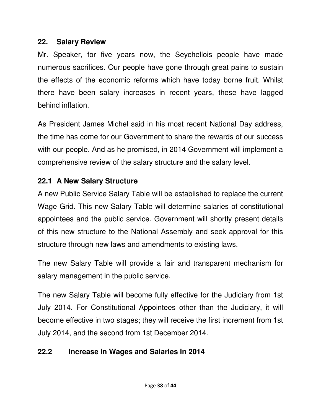#### **22. Salary Review**

Mr. Speaker, for five years now, the Seychellois people have made numerous sacrifices. Our people have gone through great pains to sustain the effects of the economic reforms which have today borne fruit. Whilst there have been salary increases in recent years, these have lagged behind inflation.

As President James Michel said in his most recent National Day address, the time has come for our Government to share the rewards of our success with our people. And as he promised, in 2014 Government will implement a comprehensive review of the salary structure and the salary level.

## **22.1 A New Salary Structure**

A new Public Service Salary Table will be established to replace the current Wage Grid. This new Salary Table will determine salaries of constitutional appointees and the public service. Government will shortly present details of this new structure to the National Assembly and seek approval for this structure through new laws and amendments to existing laws.

The new Salary Table will provide a fair and transparent mechanism for salary management in the public service.

The new Salary Table will become fully effective for the Judiciary from 1st July 2014. For Constitutional Appointees other than the Judiciary, it will become effective in two stages; they will receive the first increment from 1st July 2014, and the second from 1st December 2014.

# **22.2 Increase in Wages and Salaries in 2014**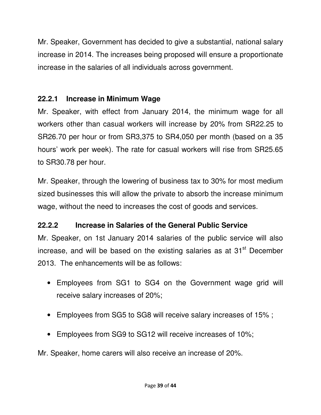Mr. Speaker, Government has decided to give a substantial, national salary increase in 2014. The increases being proposed will ensure a proportionate increase in the salaries of all individuals across government.

## **22.2.1 Increase in Minimum Wage**

Mr. Speaker, with effect from January 2014, the minimum wage for all workers other than casual workers will increase by 20% from SR22.25 to SR26.70 per hour or from SR3,375 to SR4,050 per month (based on a 35 hours' work per week). The rate for casual workers will rise from SR25.65 to SR30.78 per hour.

Mr. Speaker, through the lowering of business tax to 30% for most medium sized businesses this will allow the private to absorb the increase minimum wage, without the need to increases the cost of goods and services.

## **22.2.2 Increase in Salaries of the General Public Service**

Mr. Speaker, on 1st January 2014 salaries of the public service will also increase, and will be based on the existing salaries as at 31<sup>st</sup> December 2013. The enhancements will be as follows:

- Employees from SG1 to SG4 on the Government wage grid will receive salary increases of 20%;
- Employees from SG5 to SG8 will receive salary increases of 15% ;
- Employees from SG9 to SG12 will receive increases of 10%;

Mr. Speaker, home carers will also receive an increase of 20%.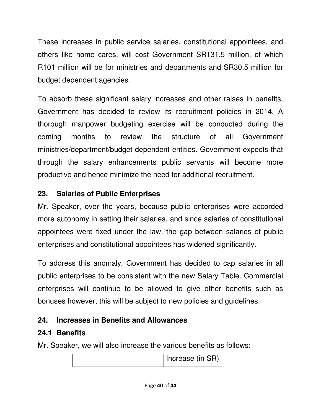These increases in public service salaries, constitutional appointees, and others like home cares, will cost Government SR131.5 million, of which R101 million will be for ministries and departments and SR30.5 million for budget dependent agencies.

To absorb these significant salary increases and other raises in benefits, Government has decided to review its recruitment policies in 2014. A thorough manpower budgeting exercise will be conducted during the coming months to review the structure of all Government ministries/department/budget dependent entities. Government expects that through the salary enhancements public servants will become more productive and hence minimize the need for additional recruitment.

# **23. Salaries of Public Enterprises**

Mr. Speaker, over the years, because public enterprises were accorded more autonomy in setting their salaries, and since salaries of constitutional appointees were fixed under the law, the gap between salaries of public enterprises and constitutional appointees has widened significantly.

To address this anomaly, Government has decided to cap salaries in all public enterprises to be consistent with the new Salary Table. Commercial enterprises will continue to be allowed to give other benefits such as bonuses however, this will be subject to new policies and guidelines.

# **24. Increases in Benefits and Allowances**

# **24.1 Benefits**

Mr. Speaker, we will also increase the various benefits as follows:

Increase (in SR)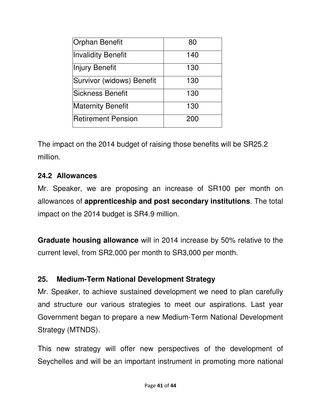| <b>Orphan Benefit</b>     | 80  |
|---------------------------|-----|
| <b>Invalidity Benefit</b> | 140 |
| <b>Injury Benefit</b>     | 130 |
| Survivor (widows) Benefit | 130 |
| <b>Sickness Benefit</b>   | 130 |
| <b>Maternity Benefit</b>  | 130 |
| <b>Retirement Pension</b> | 200 |

The impact on the 2014 budget of raising those benefits will be SR25.2 million.

#### **24.2 Allowances**

Mr. Speaker, we are proposing an increase of SR100 per month on allowances of **apprenticeship and post secondary institutions**. The total impact on the 2014 budget is SR4.9 million.

**Graduate housing allowance** will in 2014 increase by 50% relative to the current level, from SR2,000 per month to SR3,000 per month.

## **25. Medium-Term National Development Strategy**

Mr. Speaker, to achieve sustained development we need to plan carefully and structure our various strategies to meet our aspirations. Last year Government began to prepare a new Medium-Term National Development Strategy (MTNDS).

This new strategy will offer new perspectives of the development of Seychelles and will be an important instrument in promoting more national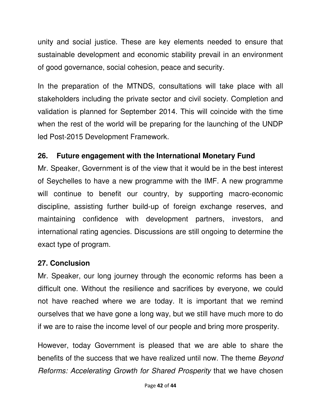unity and social justice. These are key elements needed to ensure that sustainable development and economic stability prevail in an environment of good governance, social cohesion, peace and security.

In the preparation of the MTNDS, consultations will take place with all stakeholders including the private sector and civil society. Completion and validation is planned for September 2014. This will coincide with the time when the rest of the world will be preparing for the launching of the UNDP led Post-2015 Development Framework.

#### **26. Future engagement with the International Monetary Fund**

Mr. Speaker, Government is of the view that it would be in the best interest of Seychelles to have a new programme with the IMF. A new programme will continue to benefit our country, by supporting macro-economic discipline, assisting further build-up of foreign exchange reserves, and maintaining confidence with development partners, investors, and international rating agencies. Discussions are still ongoing to determine the exact type of program.

#### **27. Conclusion**

Mr. Speaker, our long journey through the economic reforms has been a difficult one. Without the resilience and sacrifices by everyone, we could not have reached where we are today. It is important that we remind ourselves that we have gone a long way, but we still have much more to do if we are to raise the income level of our people and bring more prosperity.

However, today Government is pleased that we are able to share the benefits of the success that we have realized until now. The theme Beyond Reforms: Accelerating Growth for Shared Prosperity that we have chosen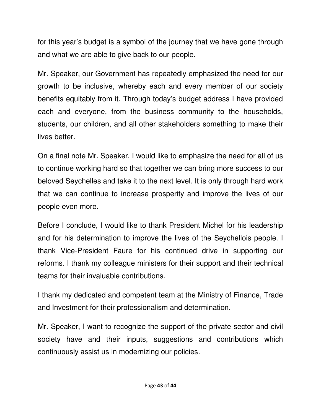for this year's budget is a symbol of the journey that we have gone through and what we are able to give back to our people.

Mr. Speaker, our Government has repeatedly emphasized the need for our growth to be inclusive, whereby each and every member of our society benefits equitably from it. Through today's budget address I have provided each and everyone, from the business community to the households, students, our children, and all other stakeholders something to make their lives better.

On a final note Mr. Speaker, I would like to emphasize the need for all of us to continue working hard so that together we can bring more success to our beloved Seychelles and take it to the next level. It is only through hard work that we can continue to increase prosperity and improve the lives of our people even more.

Before I conclude, I would like to thank President Michel for his leadership and for his determination to improve the lives of the Seychellois people. I thank Vice-President Faure for his continued drive in supporting our reforms. I thank my colleague ministers for their support and their technical teams for their invaluable contributions.

I thank my dedicated and competent team at the Ministry of Finance, Trade and Investment for their professionalism and determination.

Mr. Speaker, I want to recognize the support of the private sector and civil society have and their inputs, suggestions and contributions which continuously assist us in modernizing our policies.